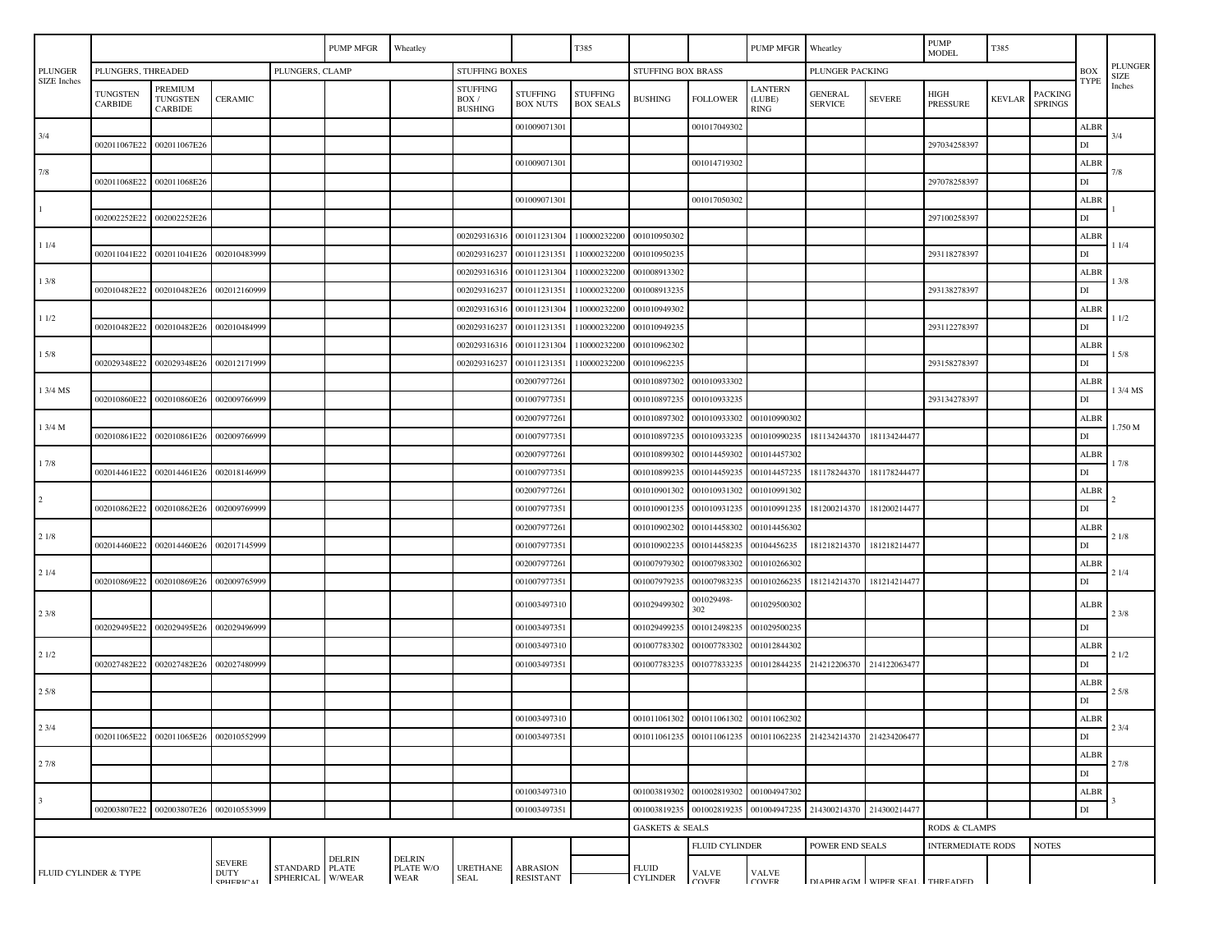|                               |                                       |                                              |                          |                                                                                    | PUMP MFGR<br>Wheatley |                            |                                            |                                    | T385                                |                 | <b>PUMP MFGR</b>          |                                        | Wheatley                                                         |               | $\ensuremath{\mathrm{PUMP}}$<br><b>MODEL</b> | T385          |                           |                                                                     |          |
|-------------------------------|---------------------------------------|----------------------------------------------|--------------------------|------------------------------------------------------------------------------------|-----------------------|----------------------------|--------------------------------------------|------------------------------------|-------------------------------------|-----------------|---------------------------|----------------------------------------|------------------------------------------------------------------|---------------|----------------------------------------------|---------------|---------------------------|---------------------------------------------------------------------|----------|
| <b>PLUNGER</b><br>SIZE Inches | PLUNGERS, CLAMP<br>PLUNGERS, THREADED |                                              |                          |                                                                                    | <b>STUFFING BOXES</b> |                            |                                            |                                    | STUFFING BOX BRASS                  |                 |                           | PLUNGER PACKING                        |                                                                  |               |                                              | <b>BOX</b>    |                           | PLUNGER<br><b>SIZE</b>                                              |          |
|                               | TUNGSTEN<br>CARBIDE                   | PREMIUM<br><b>TUNGSTEN</b><br><b>CARBIDE</b> | <b>CERAMIC</b>           |                                                                                    |                       |                            | <b>STUFFING</b><br>BOX /<br><b>BUSHING</b> | <b>STUFFING</b><br><b>BOX NUTS</b> | <b>STUFFING</b><br><b>BOX SEALS</b> | <b>BUSHING</b>  | <b>FOLLOWER</b>           | <b>LANTERN</b><br>(LUBE)<br>RING       | <b>GENERAL</b><br><b>SERVICE</b>                                 | <b>SEVERE</b> | HIGH<br><b>PRESSURE</b>                      | <b>KEVLAR</b> | PACKING<br><b>SPRINGS</b> | <b>TYPE</b>                                                         | Inches   |
| 3/4                           |                                       |                                              |                          |                                                                                    |                       |                            |                                            | 001009071301                       |                                     |                 | 001017049302              |                                        |                                                                  |               |                                              |               |                           | ALBR                                                                | 3/4      |
|                               | 002011067E22                          | 002011067E26                                 |                          |                                                                                    |                       |                            |                                            |                                    |                                     |                 |                           |                                        |                                                                  |               | 297034258397                                 |               |                           | $\mathbf{D}\mathbf{I}$                                              |          |
|                               |                                       |                                              |                          |                                                                                    |                       |                            |                                            | 00100907130                        |                                     |                 | 001014719302              |                                        |                                                                  |               |                                              |               |                           | ALBR                                                                | 7/8      |
| 7/8                           | 002011068E22                          | 002011068E26                                 |                          |                                                                                    |                       |                            |                                            |                                    |                                     |                 |                           |                                        |                                                                  |               | 297078258397                                 |               |                           | $\mathop{\rm DI}$                                                   |          |
| $\mathbf{1}$                  |                                       |                                              |                          |                                                                                    |                       |                            |                                            | 001009071301                       |                                     |                 | 001017050302              |                                        |                                                                  |               |                                              |               |                           | ALBR                                                                |          |
|                               | 002002252E22                          | 002002252E26                                 |                          |                                                                                    |                       |                            |                                            |                                    |                                     |                 |                           |                                        |                                                                  |               | 297100258397                                 |               |                           | $\mathbf{D}\mathbf{I}$                                              |          |
|                               |                                       |                                              |                          |                                                                                    |                       |                            | 00202931631                                | 001011231304                       | 110000232200                        | 001010950302    |                           |                                        |                                                                  |               |                                              |               |                           | <b>ALBR</b>                                                         |          |
| 11/4                          | 002011041E22                          | 002011041E26                                 | 002010483999             |                                                                                    |                       |                            | 00202931623                                | 001011231351                       | 110000232200                        | 001010950235    |                           |                                        |                                                                  |               | 293118278397                                 |               |                           | $\mathbf{D}\mathbf{I}$                                              | 11/4     |
|                               |                                       |                                              |                          |                                                                                    |                       |                            | 0020293163                                 | 001011231304                       | 110000232200                        | 001008913302    |                           |                                        |                                                                  |               |                                              |               |                           | <b>ALBR</b>                                                         |          |
| 13/8                          | 002010482E22                          | 002010482E26                                 | 002012160999             |                                                                                    |                       |                            | 00202931623                                | 001011231351                       | 110000232200                        | 001008913235    |                           |                                        |                                                                  |               | 293138278397                                 |               |                           | $\mathbf{D}\mathbf{I}$                                              | 1 3/8    |
|                               |                                       |                                              |                          |                                                                                    |                       |                            | 0020293163                                 | 00101123130                        | 11000023220                         | 001010949302    |                           |                                        |                                                                  |               |                                              |               |                           | <b>ALBR</b>                                                         |          |
| 11/2                          | 002010482E22                          | 002010482E26                                 | 002010484999             |                                                                                    |                       |                            | 00202931623                                | 00101123135                        | 110000232200                        | 001010949235    |                           |                                        |                                                                  |               | 293112278397                                 |               |                           | $\mathbf{D}\mathbf{I}$                                              | 11/2     |
|                               |                                       |                                              |                          |                                                                                    |                       |                            | 00202931631                                | 00101123130                        | 11000023220                         | 001010962302    |                           |                                        |                                                                  |               |                                              |               |                           | <b>ALBR</b>                                                         |          |
| 15/8                          | 002029348E22                          | 002029348E26                                 | 002012171999             |                                                                                    |                       |                            | 00202931623                                | 00101123135                        | 110000232200                        | 001010962235    |                           |                                        |                                                                  |               | 293158278397                                 |               |                           | $\mathbf{D}\mathbf{I}$                                              | 1 5/8    |
| 1 3/4 MS                      |                                       |                                              |                          |                                                                                    |                       |                            |                                            | 002007977261                       |                                     | 001010897302    | 001010933302              |                                        |                                                                  |               |                                              |               |                           | <b>ALBR</b>                                                         | 1 3/4 MS |
|                               | 002010860E22                          | 002010860E26                                 | 002009766999             |                                                                                    |                       |                            |                                            | 001007977351                       |                                     | 001010897235    | 001010933235              |                                        |                                                                  |               | 293134278397                                 |               |                           | $\mathbf{D}\mathbf{I}$                                              |          |
|                               |                                       |                                              |                          |                                                                                    |                       |                            |                                            | 002007977261                       |                                     | 001010897302    | 001010933302              | 001010990302                           |                                                                  |               |                                              |               |                           | <b>ALBR</b>                                                         |          |
| 1 3/4 M                       | 002010861E22                          | 002010861E26                                 | 002009766999             |                                                                                    |                       |                            |                                            | 001007977351                       |                                     | 001010897235    | 001010933235              | 001010990235                           | 181134244370                                                     | 181134244477  |                                              |               |                           | $\mathbf{D}\mathbf{I}$                                              | 1.750 M  |
|                               |                                       |                                              |                          |                                                                                    |                       |                            |                                            | 002007977261                       |                                     | 001010899302    | 001014459302              | 001014457302                           |                                                                  |               |                                              |               |                           | ALBR                                                                |          |
| 17/8                          | 002014461E22                          | 002014461E26                                 | 002018146999             |                                                                                    |                       |                            |                                            | 001007977351                       |                                     | 001010899235    | 001014459235              | 001014457235                           | 181178244370                                                     | 181178244477  |                                              |               |                           | $\mathbf{D}\mathbf{I}$                                              | 17/8     |
|                               |                                       |                                              |                          |                                                                                    |                       |                            |                                            | 002007977261                       |                                     | 001010901302    | 001010931302              | 001010991302                           |                                                                  |               |                                              |               |                           | ALBR                                                                |          |
| $\overline{2}$                | 002010862E22                          | 002010862E26                                 | 002009769999             |                                                                                    |                       |                            |                                            | 001007977351                       |                                     | 001010901235    | 001010931235              | 001010991235                           | 181200214370                                                     | 18120021447   |                                              |               |                           | $\mathbf{D}\mathbf{I}$                                              |          |
|                               |                                       |                                              |                          |                                                                                    |                       |                            |                                            | 002007977261                       |                                     | 001010902302    | 001014458302              | 001014456302                           |                                                                  |               |                                              |               |                           | ALBR                                                                |          |
| 21/8                          | 002014460E22                          | 002014460E26                                 | 002017145999             |                                                                                    |                       |                            |                                            | 001007977351                       |                                     | 001010902235    | 001014458235              | 00104456235                            | 181218214370                                                     | 181218214477  |                                              |               |                           | $\mathbf{D}\mathbf{I}$                                              | 21/8     |
|                               |                                       |                                              |                          |                                                                                    |                       |                            |                                            | 002007977261                       |                                     | 001007979302    | 001007983302              | 001010266302                           |                                                                  |               |                                              |               |                           | ALBR                                                                |          |
| 21/4                          | 002010869E22                          | 002010869E26                                 | 002009765999             |                                                                                    |                       |                            |                                            | 001007977351                       |                                     | 001007979235    | 001007983235              | 001010266235                           | 181214214370                                                     | 181214214477  |                                              |               |                           | $\mathbf{D}\mathbf{I}$                                              | 21/4     |
|                               |                                       |                                              |                          |                                                                                    |                       |                            |                                            |                                    |                                     |                 | 001029498-                |                                        |                                                                  |               |                                              |               |                           |                                                                     |          |
| 23/8                          |                                       |                                              |                          |                                                                                    |                       |                            |                                            | 001003497310                       |                                     | 001029499302    | 302                       | 001029500302                           |                                                                  |               |                                              |               |                           | ALBR                                                                | 23/8     |
|                               | 002029495E22                          | 002029495E26                                 | 002029496999             |                                                                                    |                       |                            |                                            | 001003497351                       |                                     | 00102949923     | 001012498235              | 001029500235                           |                                                                  |               |                                              |               |                           | $\mathbf{D}\mathbf{I}$                                              |          |
| 21/2<br>25/8                  |                                       |                                              |                          |                                                                                    |                       |                            |                                            | 001003497310                       |                                     | 001007783302    | 001007783302              | 001012844302                           |                                                                  |               |                                              |               |                           | ALBR                                                                | 21/2     |
|                               | 002027482E22                          | 002027482E26                                 | 002027480999             |                                                                                    |                       |                            |                                            | 001003497351                       |                                     | 001007783235    | 001077833235              | 001012844235                           | 214212206370                                                     | 214122063477  |                                              |               |                           | $_{\rm DI}$                                                         |          |
|                               |                                       |                                              |                          |                                                                                    |                       |                            |                                            |                                    |                                     |                 |                           |                                        |                                                                  |               |                                              |               |                           | <b>ALBR</b>                                                         | 25/8     |
|                               |                                       |                                              |                          |                                                                                    |                       |                            |                                            |                                    |                                     |                 |                           |                                        |                                                                  |               |                                              |               |                           | DI                                                                  |          |
| 23/4<br>27/8                  |                                       |                                              |                          |                                                                                    |                       |                            |                                            | 001003497310                       |                                     | 001011061302    | 001011061302              | 001011062302                           |                                                                  |               |                                              |               |                           | ALBR<br>23/4<br>DI<br><b>ALBR</b><br>27/8<br>$\mathbf{D}\mathbf{I}$ |          |
|                               |                                       | 002011065E22 002011065E26 002010552999       |                          |                                                                                    |                       |                            |                                            | 001003497351                       |                                     |                 |                           |                                        | 001011061235 001011061235 001011062235 214234214370 214234206477 |               |                                              |               |                           |                                                                     |          |
|                               |                                       |                                              |                          |                                                                                    |                       |                            |                                            |                                    |                                     |                 |                           |                                        |                                                                  |               |                                              |               |                           |                                                                     |          |
|                               |                                       |                                              |                          |                                                                                    |                       |                            |                                            |                                    |                                     |                 |                           |                                        |                                                                  |               |                                              |               |                           |                                                                     |          |
|                               |                                       |                                              |                          |                                                                                    |                       |                            |                                            | 001003497310                       |                                     |                 |                           | 001003819302 001002819302 001004947302 |                                                                  |               |                                              |               |                           | $\operatorname{ALBR}$                                               |          |
| $\mathbf{3}$                  | 002003807E22                          | 002003807E26                                 | 002010553999             |                                                                                    |                       |                            |                                            | 001003497351                       |                                     | 001003819235    | 001002819235              | 001004947235                           | 214300214370 214300214477                                        |               |                                              |               |                           | $\mathbf{D}\mathbf{I}$                                              |          |
|                               |                                       |                                              |                          |                                                                                    |                       |                            |                                            | <b>GASKETS &amp; SEALS</b>         |                                     |                 |                           |                                        | RODS & CLAMPS                                                    |               |                                              |               |                           |                                                                     |          |
|                               |                                       |                                              |                          |                                                                                    |                       |                            |                                            |                                    |                                     |                 | <b>FLUID CYLINDER</b>     |                                        | POWER END SEALS                                                  |               | <b>INTERMEDIATE RODS</b>                     |               | <b>NOTES</b>              |                                                                     |          |
|                               |                                       |                                              | <b>SEVERE</b>            | $\begin{minipage}{.4\linewidth} \textbf{STANDARD} & \textbf{PLATE} \end{minipage}$ | <b>DELRIN</b>         | <b>DELRIN</b><br>PLATE W/O | <b>URETHANE</b>                            | <b>ABRASION</b>                    |                                     | <b>FLUID</b>    |                           |                                        |                                                                  |               |                                              |               |                           |                                                                     |          |
| FLUID CYLINDER & TYPE         |                                       |                                              | <b>DUTY</b><br>СОЦЕРИСАТ | SPHERICAL W/WEAR                                                                   |                       | WEAR                       | <b>SEAL</b>                                | <b>RESISTANT</b>                   |                                     | <b>CYLINDER</b> | <b>VALVE</b><br>$C\Omega$ | <b>VALVE</b><br>$C\Omega VFR$          | DIAPHRAGM WIPER SEAL THREADED                                    |               |                                              |               |                           |                                                                     |          |